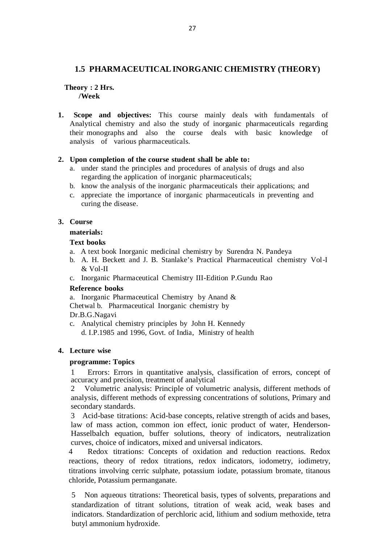# **1.5 PHARMACEUTICAL INORGANIC CHEMISTRY (THEORY)**

### **Theory : 2 Hrs. /Week**

**1. Scope and objectives:** This course mainly deals with fundamentals of Analytical chemistry and also the study of inorganic pharmaceuticals regarding their monographs and also the course deals with basic knowledge of analysis of various pharmaceuticals.

## **2. Upon completion of the course student shall be able to:**

- a. under stand the principles and procedures of analysis of drugs and also regarding the application of inorganic pharmaceuticals;
- b. know the analysis of the inorganic pharmaceuticals their applications; and
- c. appreciate the importance of inorganic pharmaceuticals in preventing and curing the disease.

## **3. Course**

### **materials:**

### **Text books**

- a. A text book Inorganic medicinal chemistry by Surendra N. Pandeya
- b. A. H. Beckett and J. B. Stanlake's Practical Pharmaceutical chemistry Vol -I & Vol-II
- c. Inorganic Pharmaceutical Chemistry III-Edition P.Gundu Rao

## **Reference books**

a. Inorganic Pharmaceutical Chemistry by Anand & Chetwal b. Pharmaceutical Inorganic chemistry by Dr.B.G.Nagavi

c. Analytical chemistry principles by John H. Kennedy d. I.P.1985 and 1996, Govt. of India, Ministry of health

## **4. Lecture wise**

#### **programme: Topics**

1 Errors: Errors in quantitative analysis, classification of errors, concept of accuracy and precision, treatment of analytical

2 Volumetric analysis: Principle of volumetric analysis, different methods of analysis, different methods of expressing concentrations of solutions, Primary and secondary standards.

3 Acid-base titrations: Acid-base concepts, relative strength of acids and bases, law of mass action, common ion effect, ionic product of water, Henderson-Hasselbalch equation, buffer solutions, theory of indicators, neutralization curves, choice of indicators, mixed and universal indicators.

4 Redox titrations: Concepts of oxidation and reduction reactions. Redox reactions, theory of redox titrations, redox indicators, iodometry, iodimetry, titrations involving cerric sulphate, potassium iodate, potassium bromate, titanous chloride, Potassium permanganate.

5 Non aqueous titrations: Theoretical basis, types of solvents, preparations and standardization of titrant solutions, titration of weak acid, weak bases and indicators. Standardization of perchloric acid, lithium and sodium methoxide, tetra butyl ammonium hydroxide.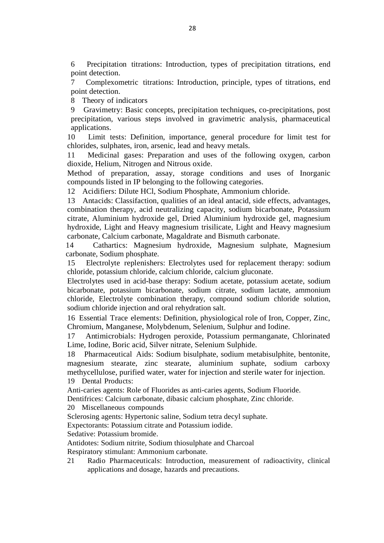6 Precipitation titrations: Introduction, types of precipitation titrations, end point detection.

7 Complexometric titrations: Introduction, principle, types of titrations, end point detection.

8 Theory of indicators

9 Gravimetry: Basic concepts, precipitation techniques, co-precipitations, post precipitation, various steps involved in gravimetric analysis, pharmaceutical applications.

10 Limit tests: Definition, importance, general procedure for limit test for chlorides, sulphates, iron, arsenic, lead and heavy metals.

11 Medicinal gases: Preparation and uses of the following oxygen, carbon dioxide, Helium, Nitrogen and Nitrous oxide.

Method of preparation, assay, storage conditions and uses of Inorganic compounds listed in IP belonging to the following categories.

12 Acidifiers: Dilute HCl, Sodium Phosphate, Ammonium chloride.

13 Antacids: Classifaction, qualities of an ideal antacid, side effects, advantages, combination therapy, acid neutralizing capacity, sodium bicarbonate, Potassium citrate, Aluminium hydroxide gel, Dried Aluminium hydroxide gel, magnesium hydroxide, Light and Heavy magnesium trisilicate, Light and Heavy magnesium carbonate, Calcium carbonate, Magaldrate and Bismuth carbonate.

14 Cathartics: Magnesium hydroxide, Magnesium sulphate, Magnesium carbonate, Sodium phosphate.

15 Electrolyte replenishers: Electrolytes used for replacement therapy: sodium chloride, potassium chloride, calcium chloride, calcium gluconate.

Electrolytes used in acid-base therapy: Sodium acetate, potassium acetate, sodium bicarbonate, potassium bicarbonate, sodium citrate, sodium lactate, ammonium chloride, Electrolyte combination therapy, compound sodium chloride solution, sodium chloride injection and oral rehydration salt.

16 Essential Trace elements: Definition, physiological role of Iron, Copper, Zinc, Chromium, Manganese, Molybdenum, Selenium, Sulphur and Iodine.

17 Antimicrobials: Hydrogen peroxide, Potassium permanganate, Chlorinated Lime, Iodine, Boric acid, Silver nitrate, Selenium Sulphide.

18 Pharmaceutical Aids: Sodium bisulphate, sodium metabisulphite, bentonite, magnesium stearate, zinc stearate, aluminium suphate, sodium carboxy methycellulose, purified water, water for injection and sterile water for injection. 19 Dental Products:

Anti-caries agents: Role of Fluorides as anti-caries agents, Sodium Fluoride.

Dentifrices: Calcium carbonate, dibasic calcium phosphate, Zinc chloride.

20 Miscellaneous compounds

Sclerosing agents: Hypertonic saline, Sodium tetra decyl suphate.

Expectorants: Potassium citrate and Potassium iodide.

Sedative: Potassium bromide.

Antidotes: Sodium nitrite, Sodium thiosulphate and Charcoal

Respiratory stimulant: Ammonium carbonate.

21 Radio Pharmaceuticals: Introduction, measurement of radioactivity, clinical applications and dosage, hazards and precautions.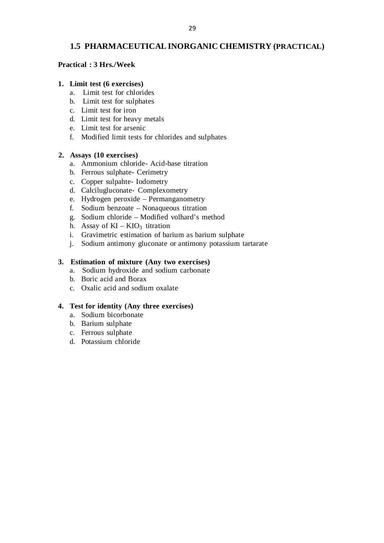# **1.5 PHARMACEUTICAL INORGANIC CHEMISTRY (PRACTICAL)**

### **Practical : 3 Hrs./Week**

### **1. Limit test (6 exercises)**

- a. Limit test for chlorides
- b. Limit test for sulphates
- c. Limit test for iron
- d. Limit test for heavy metals
- e. Limit test for arsenic
- f. Modified limit tests for chlorides and sulphates

## **2. Assays (10 exercises)**

- a. Ammonium chloride- Acid-base titration
- b. Ferrous sulphate- Cerimetry
- c. Copper sulpahte- Iodometry
- d. Calcilugluconate- Complexometry
- e. Hydrogen peroxide Permanganometry
- f. Sodium benzoate Nonaqueous titration
- g. Sodium chloride Modified volhard's method
- h. Assay of  $KI KIO_3$  titration
- i. Gravimetric estimation of barium as barium sulphate
- j. Sodium antimony gluconate or antimony potassium tartarate

## **3. Estimation of mixture (Any two exercises)**

- a. Sodium hydroxide and sodium carbonate
- b. Boric acid and Borax
- c. Oxalic acid and sodium oxalate

## **4. Test for identity (Any three exercises)**

- a. Sodium bicorbonate
- b. Barium sulphate
- c. Ferrous sulphate
- d. Potassium chloride